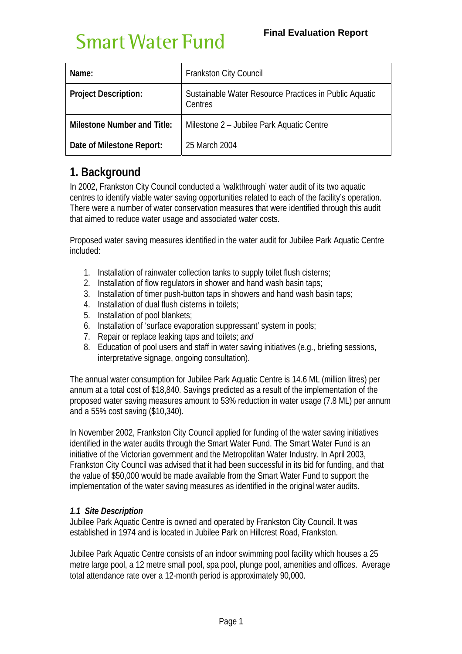| Name:                              | <b>Frankston City Council</b>                                     |  |  |  |
|------------------------------------|-------------------------------------------------------------------|--|--|--|
| <b>Project Description:</b>        | Sustainable Water Resource Practices in Public Aquatic<br>Centres |  |  |  |
| <b>Milestone Number and Title:</b> | Milestone 2 - Jubilee Park Aquatic Centre                         |  |  |  |
| Date of Milestone Report:          | 25 March 2004                                                     |  |  |  |

# **1. Background**

In 2002, Frankston City Council conducted a 'walkthrough' water audit of its two aquatic centres to identify viable water saving opportunities related to each of the facility's operation. There were a number of water conservation measures that were identified through this audit that aimed to reduce water usage and associated water costs.

Proposed water saving measures identified in the water audit for Jubilee Park Aquatic Centre included:

- 1. Installation of rainwater collection tanks to supply toilet flush cisterns;
- 2. Installation of flow regulators in shower and hand wash basin taps;
- 3. Installation of timer push-button taps in showers and hand wash basin taps;
- 4. Installation of dual flush cisterns in toilets;
- 5. Installation of pool blankets;
- 6. Installation of 'surface evaporation suppressant' system in pools;
- 7. Repair or replace leaking taps and toilets; *and*
- 8. Education of pool users and staff in water saving initiatives (e.g., briefing sessions, interpretative signage, ongoing consultation).

The annual water consumption for Jubilee Park Aquatic Centre is 14.6 ML (million litres) per annum at a total cost of \$18,840. Savings predicted as a result of the implementation of the proposed water saving measures amount to 53% reduction in water usage (7.8 ML) per annum and a 55% cost saving (\$10,340).

In November 2002, Frankston City Council applied for funding of the water saving initiatives identified in the water audits through the Smart Water Fund. The Smart Water Fund is an initiative of the Victorian government and the Metropolitan Water Industry. In April 2003, Frankston City Council was advised that it had been successful in its bid for funding, and that the value of \$50,000 would be made available from the Smart Water Fund to support the implementation of the water saving measures as identified in the original water audits.

## *1.1 Site Description*

Jubilee Park Aquatic Centre is owned and operated by Frankston City Council. It was established in 1974 and is located in Jubilee Park on Hillcrest Road, Frankston.

Jubilee Park Aquatic Centre consists of an indoor swimming pool facility which houses a 25 metre large pool, a 12 metre small pool, spa pool, plunge pool, amenities and offices. Average total attendance rate over a 12-month period is approximately 90,000.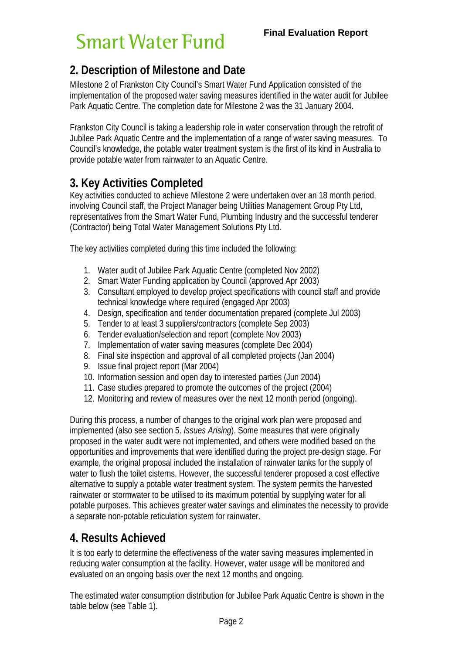# **2. Description of Milestone and Date**

Milestone 2 of Frankston City Council's Smart Water Fund Application consisted of the implementation of the proposed water saving measures identified in the water audit for Jubilee Park Aquatic Centre. The completion date for Milestone 2 was the 31 January 2004.

Frankston City Council is taking a leadership role in water conservation through the retrofit of Jubilee Park Aquatic Centre and the implementation of a range of water saving measures. To Council's knowledge, the potable water treatment system is the first of its kind in Australia to provide potable water from rainwater to an Aquatic Centre.

# **3. Key Activities Completed**

Key activities conducted to achieve Milestone 2 were undertaken over an 18 month period, involving Council staff, the Project Manager being Utilities Management Group Pty Ltd, representatives from the Smart Water Fund, Plumbing Industry and the successful tenderer (Contractor) being Total Water Management Solutions Pty Ltd.

The key activities completed during this time included the following:

- 1. Water audit of Jubilee Park Aquatic Centre (completed Nov 2002)
- 2. Smart Water Funding application by Council (approved Apr 2003)
- 3. Consultant employed to develop project specifications with council staff and provide technical knowledge where required (engaged Apr 2003)
- 4. Design, specification and tender documentation prepared (complete Jul 2003)
- 5. Tender to at least 3 suppliers/contractors (complete Sep 2003)
- 6. Tender evaluation/selection and report (complete Nov 2003)
- 7. Implementation of water saving measures (complete Dec 2004)
- 8. Final site inspection and approval of all completed projects (Jan 2004)
- 9. Issue final project report (Mar 2004)
- 10. Information session and open day to interested parties (Jun 2004)
- 11. Case studies prepared to promote the outcomes of the project (2004)
- 12. Monitoring and review of measures over the next 12 month period (ongoing).

During this process, a number of changes to the original work plan were proposed and implemented (also see section 5. *Issues Arising*). Some measures that were originally proposed in the water audit were not implemented, and others were modified based on the opportunities and improvements that were identified during the project pre-design stage. For example, the original proposal included the installation of rainwater tanks for the supply of water to flush the toilet cisterns. However, the successful tenderer proposed a cost effective alternative to supply a potable water treatment system. The system permits the harvested rainwater or stormwater to be utilised to its maximum potential by supplying water for all potable purposes. This achieves greater water savings and eliminates the necessity to provide a separate non-potable reticulation system for rainwater.

## **4. Results Achieved**

It is too early to determine the effectiveness of the water saving measures implemented in reducing water consumption at the facility. However, water usage will be monitored and evaluated on an ongoing basis over the next 12 months and ongoing.

The estimated water consumption distribution for Jubilee Park Aquatic Centre is shown in the table below (see Table 1).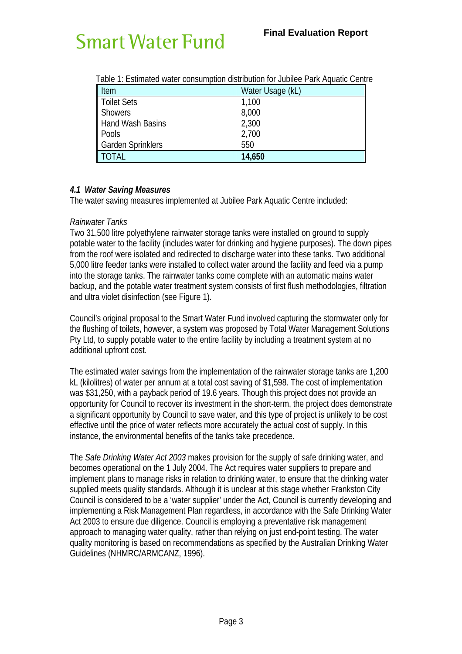| Table T. EStiffated Water Consumption distribution for Jubilee Park Aquatic Centre |                  |  |  |  |  |
|------------------------------------------------------------------------------------|------------------|--|--|--|--|
| Item                                                                               | Water Usage (kL) |  |  |  |  |
| Toilet Sets                                                                        | 1,100            |  |  |  |  |
| <b>Showers</b>                                                                     | 8,000            |  |  |  |  |
| <b>Hand Wash Basins</b>                                                            | 2,300            |  |  |  |  |
| Pools                                                                              | 2,700            |  |  |  |  |
| <b>Garden Sprinklers</b>                                                           | 550              |  |  |  |  |
| TOTAL                                                                              | 14,650           |  |  |  |  |

Table 1: Estimated water consumption distribution for Jubilee Park Aquatic Centre

## *4.1 Water Saving Measures*

The water saving measures implemented at Jubilee Park Aquatic Centre included:

#### *Rainwater Tanks*

Two 31,500 litre polyethylene rainwater storage tanks were installed on ground to supply potable water to the facility (includes water for drinking and hygiene purposes). The down pipes from the roof were isolated and redirected to discharge water into these tanks. Two additional 5,000 litre feeder tanks were installed to collect water around the facility and feed via a pump into the storage tanks. The rainwater tanks come complete with an automatic mains water backup, and the potable water treatment system consists of first flush methodologies, filtration and ultra violet disinfection (see Figure 1).

Council's original proposal to the Smart Water Fund involved capturing the stormwater only for the flushing of toilets, however, a system was proposed by Total Water Management Solutions Pty Ltd, to supply potable water to the entire facility by including a treatment system at no additional upfront cost.

The estimated water savings from the implementation of the rainwater storage tanks are 1,200 kL (kilolitres) of water per annum at a total cost saving of \$1,598. The cost of implementation was \$31,250, with a payback period of 19.6 years. Though this project does not provide an opportunity for Council to recover its investment in the short-term, the project does demonstrate a significant opportunity by Council to save water, and this type of project is unlikely to be cost effective until the price of water reflects more accurately the actual cost of supply. In this instance, the environmental benefits of the tanks take precedence.

The *Safe Drinking Water Act 2003* makes provision for the supply of safe drinking water, and becomes operational on the 1 July 2004. The Act requires water suppliers to prepare and implement plans to manage risks in relation to drinking water, to ensure that the drinking water supplied meets quality standards. Although it is unclear at this stage whether Frankston City Council is considered to be a 'water supplier' under the Act, Council is currently developing and implementing a Risk Management Plan regardless, in accordance with the Safe Drinking Water Act 2003 to ensure due diligence. Council is employing a preventative risk management approach to managing water quality, rather than relying on just end-point testing. The water quality monitoring is based on recommendations as specified by the Australian Drinking Water Guidelines (NHMRC/ARMCANZ, 1996).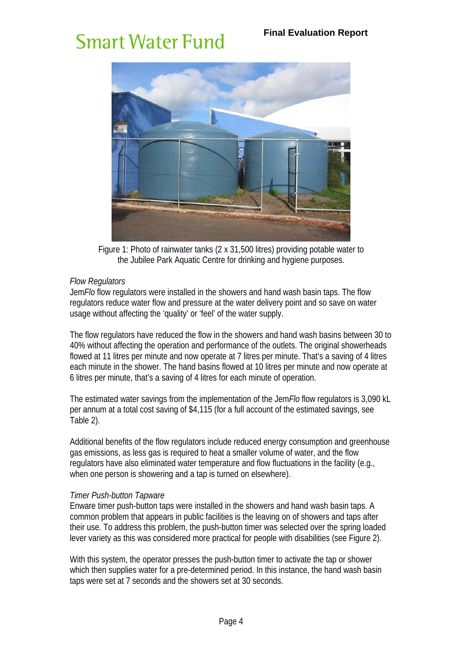

Figure 1: Photo of rainwater tanks (2 x 31,500 litres) providing potable water to the Jubilee Park Aquatic Centre for drinking and hygiene purposes.

#### *Flow Regulators*

Jem*Flo* flow regulators were installed in the showers and hand wash basin taps. The flow regulators reduce water flow and pressure at the water delivery point and so save on water usage without affecting the 'quality' or 'feel' of the water supply.

The flow regulators have reduced the flow in the showers and hand wash basins between 30 to 40% without affecting the operation and performance of the outlets. The original showerheads flowed at 11 litres per minute and now operate at 7 litres per minute. That's a saving of 4 litres each minute in the shower. The hand basins flowed at 10 litres per minute and now operate at 6 litres per minute, that's a saving of 4 litres for each minute of operation.

The estimated water savings from the implementation of the Jem*Flo* flow regulators is 3,090 kL per annum at a total cost saving of \$4,115 (for a full account of the estimated savings, see Table 2).

Additional benefits of the flow regulators include reduced energy consumption and greenhouse gas emissions, as less gas is required to heat a smaller volume of water, and the flow regulators have also eliminated water temperature and flow fluctuations in the facility (e.g., when one person is showering and a tap is turned on elsewhere).

#### *Timer Push-button Tapware*

Enware timer push-button taps were installed in the showers and hand wash basin taps. A common problem that appears in public facilities is the leaving on of showers and taps after their use. To address this problem, the push-button timer was selected over the spring loaded lever variety as this was considered more practical for people with disabilities (see Figure 2).

With this system, the operator presses the push-button timer to activate the tap or shower which then supplies water for a pre-determined period. In this instance, the hand wash basin taps were set at 7 seconds and the showers set at 30 seconds.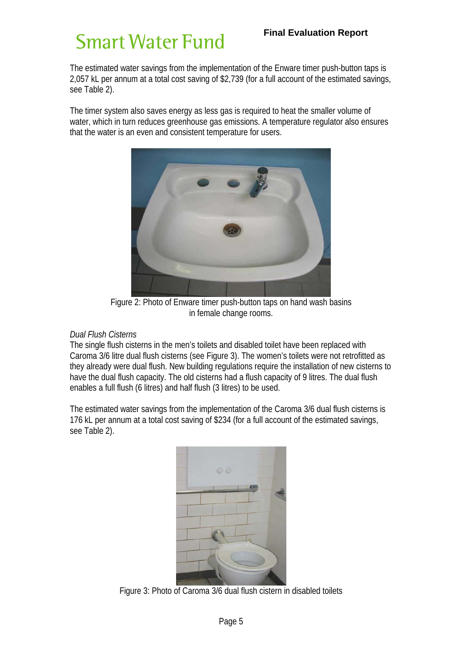## **Final Evaluation Report**

# **Smart Water Fund**

The estimated water savings from the implementation of the Enware timer push-button taps is 2,057 kL per annum at a total cost saving of \$2,739 (for a full account of the estimated savings, see Table 2).

The timer system also saves energy as less gas is required to heat the smaller volume of water, which in turn reduces greenhouse gas emissions. A temperature regulator also ensures that the water is an even and consistent temperature for users.



Figure 2: Photo of Enware timer push-button taps on hand wash basins in female change rooms.

#### *Dual Flush Cisterns*

The single flush cisterns in the men's toilets and disabled toilet have been replaced with Caroma 3/6 litre dual flush cisterns (see Figure 3). The women's toilets were not retrofitted as they already were dual flush. New building regulations require the installation of new cisterns to have the dual flush capacity. The old cisterns had a flush capacity of 9 litres. The dual flush enables a full flush (6 litres) and half flush (3 litres) to be used.

The estimated water savings from the implementation of the Caroma 3/6 dual flush cisterns is 176 kL per annum at a total cost saving of \$234 (for a full account of the estimated savings, see Table 2).



Figure 3: Photo of Caroma 3/6 dual flush cistern in disabled toilets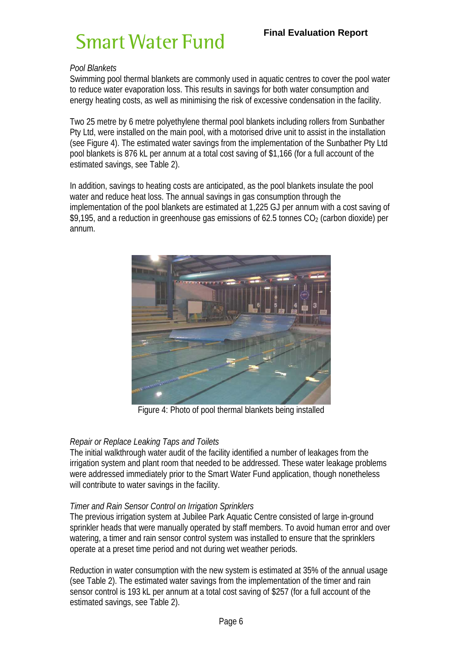## *Pool Blankets*

Swimming pool thermal blankets are commonly used in aquatic centres to cover the pool water to reduce water evaporation loss. This results in savings for both water consumption and energy heating costs, as well as minimising the risk of excessive condensation in the facility.

Two 25 metre by 6 metre polyethylene thermal pool blankets including rollers from Sunbather Pty Ltd, were installed on the main pool, with a motorised drive unit to assist in the installation (see Figure 4). The estimated water savings from the implementation of the Sunbather Pty Ltd pool blankets is 876 kL per annum at a total cost saving of \$1,166 (for a full account of the estimated savings, see Table 2).

In addition, savings to heating costs are anticipated, as the pool blankets insulate the pool water and reduce heat loss. The annual savings in gas consumption through the implementation of the pool blankets are estimated at 1,225 GJ per annum with a cost saving of \$9,195, and a reduction in greenhouse gas emissions of 62.5 tonnes  $CO<sub>2</sub>$  (carbon dioxide) per annum.



Figure 4: Photo of pool thermal blankets being installed

## *Repair or Replace Leaking Taps and Toilets*

The initial walkthrough water audit of the facility identified a number of leakages from the irrigation system and plant room that needed to be addressed. These water leakage problems were addressed immediately prior to the Smart Water Fund application, though nonetheless will contribute to water savings in the facility.

#### *Timer and Rain Sensor Control on Irrigation Sprinklers*

The previous irrigation system at Jubilee Park Aquatic Centre consisted of large in-ground sprinkler heads that were manually operated by staff members. To avoid human error and over watering, a timer and rain sensor control system was installed to ensure that the sprinklers operate at a preset time period and not during wet weather periods.

Reduction in water consumption with the new system is estimated at 35% of the annual usage (see Table 2). The estimated water savings from the implementation of the timer and rain sensor control is 193 kL per annum at a total cost saving of \$257 (for a full account of the estimated savings, see Table 2).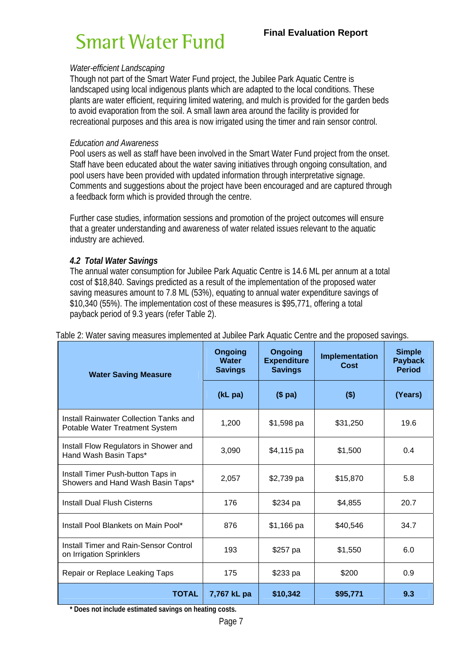#### *Water-efficient Landscaping*

Though not part of the Smart Water Fund project, the Jubilee Park Aquatic Centre is landscaped using local indigenous plants which are adapted to the local conditions. These plants are water efficient, requiring limited watering, and mulch is provided for the garden beds to avoid evaporation from the soil. A small lawn area around the facility is provided for recreational purposes and this area is now irrigated using the timer and rain sensor control.

#### *Education and Awareness*

Pool users as well as staff have been involved in the Smart Water Fund project from the onset. Staff have been educated about the water saving initiatives through ongoing consultation, and pool users have been provided with updated information through interpretative signage. Comments and suggestions about the project have been encouraged and are captured through a feedback form which is provided through the centre.

Further case studies, information sessions and promotion of the project outcomes will ensure that a greater understanding and awareness of water related issues relevant to the aquatic industry are achieved.

### *4.2 Total Water Savings*

The annual water consumption for Jubilee Park Aquatic Centre is 14.6 ML per annum at a total cost of \$18,840. Savings predicted as a result of the implementation of the proposed water saving measures amount to 7.8 ML (53%), equating to annual water expenditure savings of \$10,340 (55%). The implementation cost of these measures is \$95,771, offering a total payback period of 9.3 years (refer Table 2).

| <b>Water Saving Measure</b>                                                     | <b>Ongoing</b><br><b>Water</b><br><b>Savings</b> | <b>Ongoing</b><br><b>Expenditure</b><br><b>Savings</b> | Implementation<br>Cost | <b>Simple</b><br><b>Payback</b><br><b>Period</b> |
|---------------------------------------------------------------------------------|--------------------------------------------------|--------------------------------------------------------|------------------------|--------------------------------------------------|
|                                                                                 | (kL pa)                                          | $($p$ a)                                               | $($ \$)                | (Years)                                          |
| <b>Install Rainwater Collection Tanks and</b><br>Potable Water Treatment System | 1,200                                            | $$1,598$ pa                                            | \$31,250               | 19.6                                             |
| Install Flow Regulators in Shower and<br>Hand Wash Basin Taps*                  | 3,090                                            | \$4,115 pa                                             | \$1,500                | 0.4                                              |
| Install Timer Push-button Taps in<br>Showers and Hand Wash Basin Taps*          | 2.057                                            | \$2,739 pa                                             | \$15,870               | 5.8                                              |
| <b>Install Dual Flush Cisterns</b>                                              | 176                                              | \$234 pa                                               | \$4,855                | 20.7                                             |
| Install Pool Blankets on Main Pool*                                             | 876                                              | \$1,166 pa                                             | \$40,546               | 34.7                                             |
| Install Timer and Rain-Sensor Control<br>on Irrigation Sprinklers               | 193                                              | \$257 pa                                               | \$1,550                | 6.0                                              |
| Repair or Replace Leaking Taps                                                  | 175                                              | \$233 pa                                               | \$200                  | 0.9                                              |
| <b>TOTAL</b>                                                                    | 7,767 kL pa                                      | \$10,342                                               | \$95,771               | 9.3                                              |

Table 2: Water saving measures implemented at Jubilee Park Aquatic Centre and the proposed savings.

**\* Does not include estimated savings on heating costs.**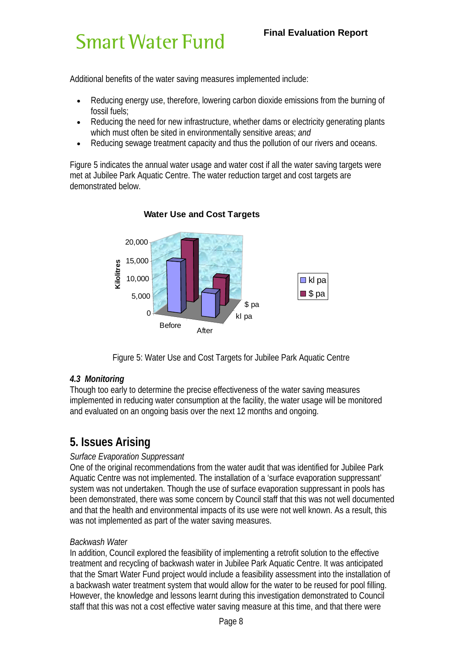Additional benefits of the water saving measures implemented include:

- Reducing energy use, therefore, lowering carbon dioxide emissions from the burning of fossil fuels;
- Reducing the need for new infrastructure, whether dams or electricity generating plants which must often be sited in environmentally sensitive areas; *and*
- Reducing sewage treatment capacity and thus the pollution of our rivers and oceans.

Figure 5 indicates the annual water usage and water cost if all the water saving targets were met at Jubilee Park Aquatic Centre. The water reduction target and cost targets are demonstrated below.



## **Water Use and Cost Targets**

Figure 5: Water Use and Cost Targets for Jubilee Park Aquatic Centre

## *4.3 Monitoring*

Though too early to determine the precise effectiveness of the water saving measures implemented in reducing water consumption at the facility, the water usage will be monitored and evaluated on an ongoing basis over the next 12 months and ongoing.

# **5. Issues Arising**

## *Surface Evaporation Suppressant*

One of the original recommendations from the water audit that was identified for Jubilee Park Aquatic Centre was not implemented. The installation of a 'surface evaporation suppressant' system was not undertaken. Though the use of surface evaporation suppressant in pools has been demonstrated, there was some concern by Council staff that this was not well documented and that the health and environmental impacts of its use were not well known. As a result, this was not implemented as part of the water saving measures.

#### *Backwash Water*

In addition, Council explored the feasibility of implementing a retrofit solution to the effective treatment and recycling of backwash water in Jubilee Park Aquatic Centre. It was anticipated that the Smart Water Fund project would include a feasibility assessment into the installation of a backwash water treatment system that would allow for the water to be reused for pool filling. However, the knowledge and lessons learnt during this investigation demonstrated to Council staff that this was not a cost effective water saving measure at this time, and that there were